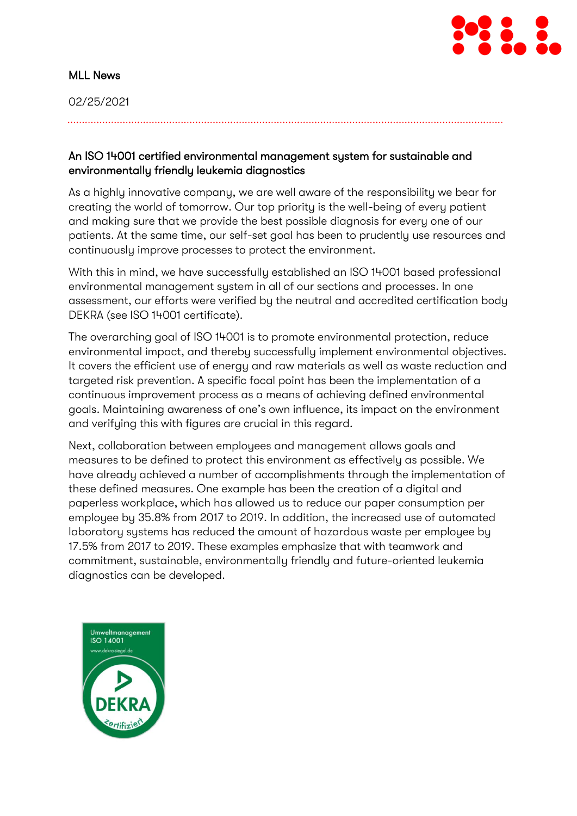

### MLL News

02/25/2021

### An ISO 14001 certified environmental management system for sustainable and environmentally friendly leukemia diagnostics

As a highly innovative company, we are well aware of the responsibility we bear for creating the world of tomorrow. Our top priority is the well-being of every patient and making sure that we provide the best possible diagnosis for every one of our patients. At the same time, our self-set goal has been to prudently use resources and continuously improve processes to protect the environment.

With this in mind, we have successfully established an ISO 14001 based professional environmental management system in all of our sections and processes. In one assessment, our efforts were verified by the neutral and accredited certification body DEKRA (see ISO 14001 certificate).

The overarching goal of ISO 14001 is to promote environmental protection, reduce environmental impact, and thereby successfully implement environmental objectives. It covers the efficient use of energy and raw materials as well as waste reduction and targeted risk prevention. A specific focal point has been the implementation of a continuous improvement process as a means of achieving defined environmental goals. Maintaining awareness of one's own influence, its impact on the environment and verifying this with figures are crucial in this regard.

Next, collaboration between employees and management allows goals and measures to be defined to protect this environment as effectively as possible. We have already achieved a number of accomplishments through the implementation of these defined measures. One example has been the creation of a digital and paperless workplace, which has allowed us to reduce our paper consumption per employee by 35.8% from 2017 to 2019. In addition, the increased use of automated laboratory systems has reduced the amount of hazardous waste per employee by 17.5% from 2017 to 2019. These examples emphasize that with teamwork and commitment, sustainable, environmentally friendly and future-oriented leukemia diagnostics can be developed.

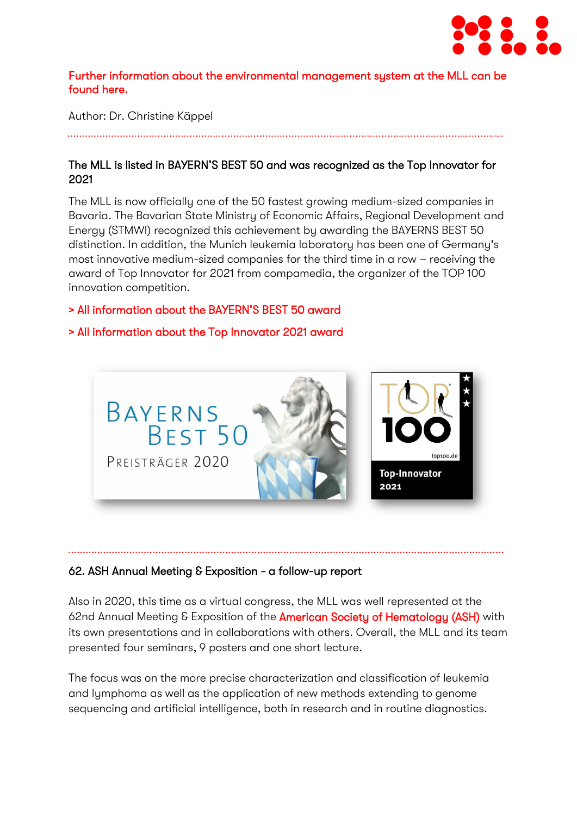

#### [Further information about the environmental management system at the MLL can be](https://www.mll.com/qualitaetsmanagement.html)  [found here.](https://www.mll.com/qualitaetsmanagement.html)

Author: Dr. Christine Käppel

# The MLL is listed in BAYERN'S BEST 50 and was recognized as the Top Innovator for 2021

The MLL is now officially one of the 50 fastest growing medium-sized companies in Bavaria. The Bavarian State Ministry of Economic Affairs, Regional Development and Energy (STMWI) recognized this achievement by awarding the BAYERNS BEST 50 distinction. In addition, the Munich leukemia laboratory has been one of Germany's most innovative medium-sized companies for the third time in a row – receiving the award of Top Innovator for 2021 from compamedia, the organizer of the TOP 100 innovation competition.

### [> All information about the BAYERN'S BES](https://www.mll.com/aktuelles/magazin/mll-aktuell/das-mll-muenchner-leukaemielabor-gehoert-zu-bayerns-best-50.html)T 50 award

# [> All information about the Top Innovator 2021 award](https://www.mll.com/aktuelles/pressemitteilung/das-mll-muenchner-leukaemielabor-ist-top-innovator-2021.html)



#### 62. ASH Annual Meeting & Exposition - a follow-up report

Also in 2020, this time as a virtual congress, the MLL was well represented at the 62nd Annual Meeting & Exposition of the **American Society of Hematology (ASH)** with its own presentations and in collaborations with others. Overall, the MLL and its team presented four seminars, 9 posters and one short lecture.

The focus was on the more precise characterization and classification of leukemia and lymphoma as well as the application of new methods extending to genome sequencing and artificial intelligence, both in research and in routine diagnostics.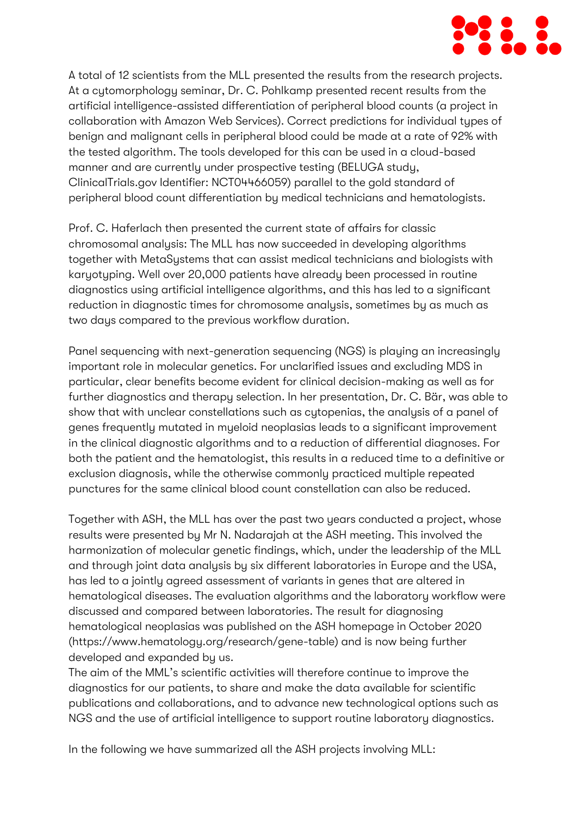

A total of 12 scientists from the MLL presented the results from the research projects. At a cytomorphology seminar, Dr. C. Pohlkamp presented recent results from the artificial intelligence-assisted differentiation of peripheral blood counts (a project in collaboration with Amazon Web Services). Correct predictions for individual types of benign and malignant cells in peripheral blood could be made at a rate of 92% with the tested algorithm. The tools developed for this can be used in a cloud-based manner and are currently under prospective testing (BELUGA study, ClinicalTrials.gov Identifier: NCT04466059) parallel to the gold standard of peripheral blood count differentiation by medical technicians and hematologists.

Prof. C. Haferlach then presented the current state of affairs for classic chromosomal analysis: The MLL has now succeeded in developing algorithms together with MetaSystems that can assist medical technicians and biologists with karyotyping. Well over 20,000 patients have already been processed in routine diagnostics using artificial intelligence algorithms, and this has led to a significant reduction in diagnostic times for chromosome analysis, sometimes by as much as two days compared to the previous workflow duration.

Panel sequencing with next-generation sequencing (NGS) is playing an increasingly important role in molecular genetics. For unclarified issues and excluding MDS in particular, clear benefits become evident for clinical decision-making as well as for further diagnostics and therapy selection. In her presentation, Dr. C. Bär, was able to show that with unclear constellations such as cytopenias, the analysis of a panel of genes frequently mutated in myeloid neoplasias leads to a significant improvement in the clinical diagnostic algorithms and to a reduction of differential diagnoses. For both the patient and the hematologist, this results in a reduced time to a definitive or exclusion diagnosis, while the otherwise commonly practiced multiple repeated punctures for the same clinical blood count constellation can also be reduced.

Together with ASH, the MLL has over the past two years conducted a project, whose results were presented by Mr N. Nadarajah at the ASH meeting. This involved the harmonization of molecular genetic findings, which, under the leadership of the MLL and through joint data analysis by six different laboratories in Europe and the USA, has led to a jointly agreed assessment of variants in genes that are altered in hematological diseases. The evaluation algorithms and the laboratory workflow were discussed and compared between laboratories. The result for diagnosing hematological neoplasias was published on the ASH homepage in October 2020 (https://www.hematology.org/research/gene-table) and is now being further developed and expanded by us.

The aim of the MML's scientific activities will therefore continue to improve the diagnostics for our patients, to share and make the data available for scientific publications and collaborations, and to advance new technological options such as NGS and the use of artificial intelligence to support routine laboratory diagnostics.

In the following we have summarized all the ASH projects involving MLL: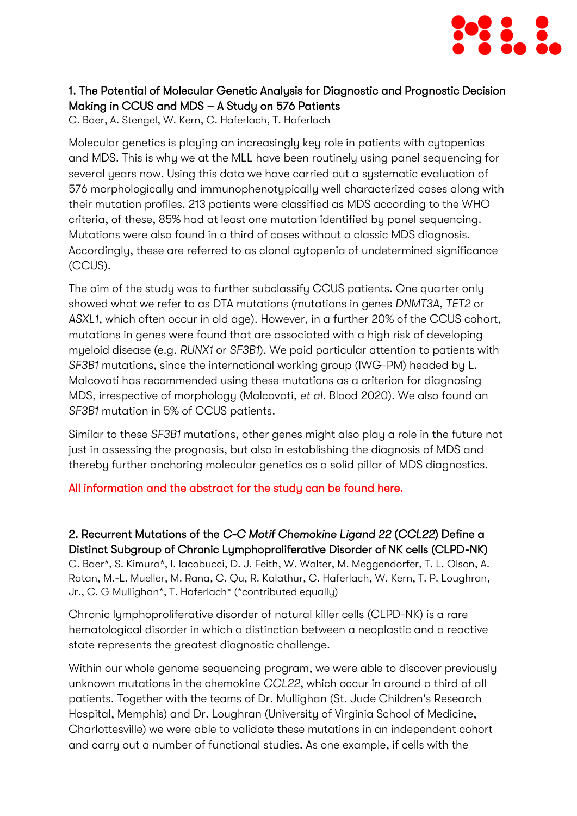

# 1. The Potential of Molecular Genetic Analysis for Diagnostic and Prognostic Decision Making in CCUS and MDS – A Study on 576 Patients

C. Baer, A. Stengel, W. Kern, C. Haferlach, T. Haferlach

Molecular genetics is playing an increasingly key role in patients with cytopenias and MDS. This is why we at the MLL have been routinely using panel sequencing for several years now. Using this data we have carried out a systematic evaluation of 576 morphologically and immunophenotypically well characterized cases along with their mutation profiles. 213 patients were classified as MDS according to the WHO criteria, of these, 85% had at least one mutation identified by panel sequencing. Mutations were also found in a third of cases without a classic MDS diagnosis. Accordingly, these are referred to as clonal cytopenia of undetermined significance (CCUS).

The aim of the study was to further subclassify CCUS patients. One quarter only showed what we refer to as DTA mutations (mutations in genes *DNMT3A*, *TET2* or *ASXL1*, which often occur in old age). However, in a further 20% of the CCUS cohort, mutations in genes were found that are associated with a high risk of developing myeloid disease (e.g. *RUNX1* or *SF3B1*). We paid particular attention to patients with *SF3B1* mutations, since the international working group (IWG-PM) headed by L. Malcovati has recommended using these mutations as a criterion for diagnosing MDS, irrespective of morphology (Malcovati, *et al*. Blood 2020). We also found an *SF3B1* mutation in 5% of CCUS patients.

Similar to these *SF3B1* mutations, other genes might also play a role in the future not just in assessing the prognosis, but also in establishing the diagnosis of MDS and thereby further anchoring molecular genetics as a solid pillar of MDS diagnostics.

#### [All information and the abstract for the study can be found here.](https://ashpublications.org/blood/article/136/Supplement%201/30/470278/The-Potential-of-Molecular-Genetic-Analysis-for)

# 2. Recurrent Mutations of the *C-C Motif Chemokine Ligand 22* (*CCL22*) Define a Distinct Subgroup of Chronic Lymphoproliferative Disorder of NK cells (CLPD-NK)

C. Baer\*, S. Kimura\*, I. Iacobucci, D. J. Feith, W. Walter, M. Meggendorfer, T. L. Olson, A. Ratan, M.-L. Mueller, M. Rana, C. Qu, R. Kalathur, C. Haferlach, W. Kern, T. P. Loughran, Jr., C. G Mullighan\*, T. Haferlach\* (\*contributed equally)

Chronic lymphoproliferative disorder of natural killer cells (CLPD-NK) is a rare hematological disorder in which a distinction between a neoplastic and a reactive state represents the greatest diagnostic challenge.

Within our whole genome sequencing program, we were able to discover previously unknown mutations in the chemokine *CCL22*, which occur in around a third of all patients. Together with the teams of Dr. Mullighan (St. Jude Children's Research Hospital, Memphis) and Dr. Loughran (University of Virginia School of Medicine, Charlottesville) we were able to validate these mutations in an independent cohort and carry out a number of functional studies. As one example, if cells with the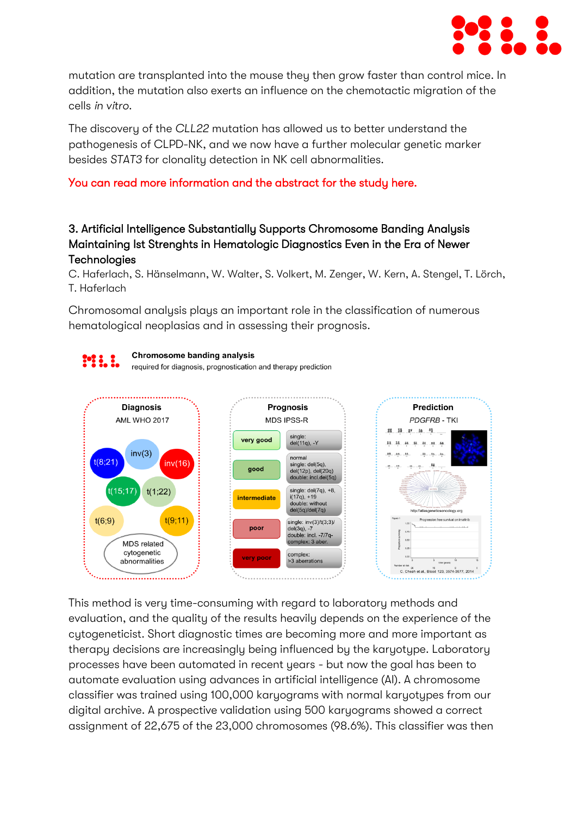

mutation are transplanted into the mouse they then grow faster than control mice. In addition, the mutation also exerts an influence on the chemotactic migration of the cells *in vitro*.

The discovery of the *CLL22* mutation has allowed us to better understand the pathogenesis of CLPD-NK, and we now have a further molecular genetic marker besides *STAT3* for clonality detection in NK cell abnormalities.

### [You can read more information and the abstract for the study here.](https://ashpublications.org/blood/article/136/Supplement%201/19/472468/Recurrent-Mutations-of-the-C-C-Motif-Chemokine)

## 3. Artificial Intelligence Substantially Supports Chromosome Banding Analysis Maintaining Ist Strenghts in Hematologic Diagnostics Even in the Era of Newer **Technologies**

C. Haferlach, S. Hänselmann, W. Walter, S. Volkert, M. Zenger, W. Kern, A. Stengel, T. Lörch, T. Haferlach

Chromosomal analysis plays an important role in the classification of numerous hematological neoplasias and in assessing their prognosis.



This method is very time-consuming with regard to laboratory methods and evaluation, and the quality of the results heavily depends on the experience of the cytogeneticist. Short diagnostic times are becoming more and more important as therapy decisions are increasingly being influenced by the karyotype. Laboratory processes have been automated in recent years - but now the goal has been to automate evaluation using advances in artificial intelligence (AI). A chromosome classifier was trained using 100,000 karyograms with normal karyotypes from our digital archive. A prospective validation using 500 karyograms showed a correct assignment of 22,675 of the 23,000 chromosomes (98.6%). This classifier was then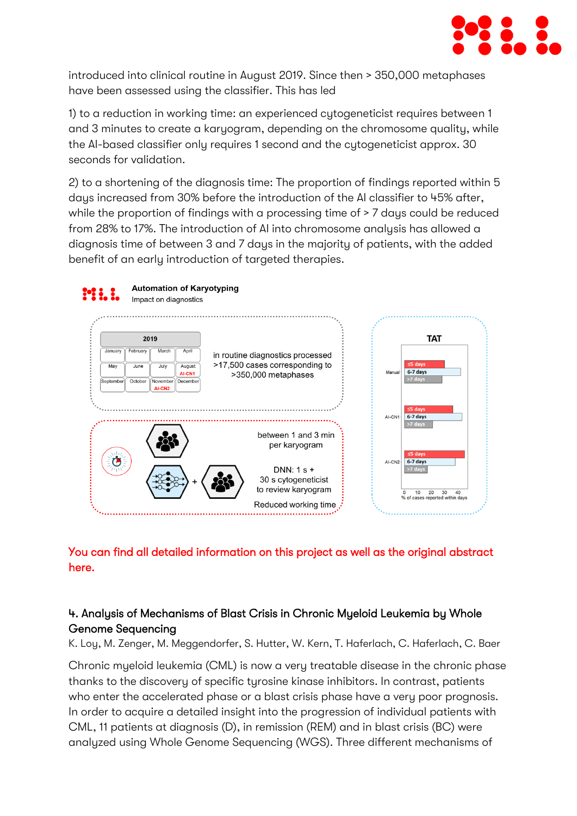

introduced into clinical routine in August 2019. Since then > 350,000 metaphases have been assessed using the classifier. This has led

1) to a reduction in working time: an experienced cytogeneticist requires between 1 and 3 minutes to create a karyogram, depending on the chromosome quality, while the AI-based classifier only requires 1 second and the cytogeneticist approx. 30 seconds for validation.

2) to a shortening of the diagnosis time: The proportion of findings reported within 5 days increased from 30% before the introduction of the AI classifier to 45% after, while the proportion of findings with a processing time of  $> 7$  days could be reduced from 28% to 17%. The introduction of AI into chromosome analysis has allowed a diagnosis time of between 3 and 7 days in the majority of patients, with the added benefit of an early introduction of targeted therapies.



# [You can find all detailed information on this project as well as the original abstract](https://ashpublications.org/blood/article/136/Supplement%201/47/470154/Artificial-Intelligence-Substantially-Supports)  [here.](https://ashpublications.org/blood/article/136/Supplement%201/47/470154/Artificial-Intelligence-Substantially-Supports)

# 4. Analysis of Mechanisms of Blast Crisis in Chronic Myeloid Leukemia by Whole Genome Sequencing

K. Loy, M. Zenger, M. Meggendorfer, S. Hutter, W. Kern, T. Haferlach, C. Haferlach, C. Baer

Chronic myeloid leukemia (CML) is now a very treatable disease in the chronic phase thanks to the discovery of specific tyrosine kinase inhibitors. In contrast, patients who enter the accelerated phase or a blast crisis phase have a very poor prognosis. In order to acquire a detailed insight into the progression of individual patients with CML, 11 patients at diagnosis (D), in remission (REM) and in blast crisis (BC) were analyzed using Whole Genome Sequencing (WGS). Three different mechanisms of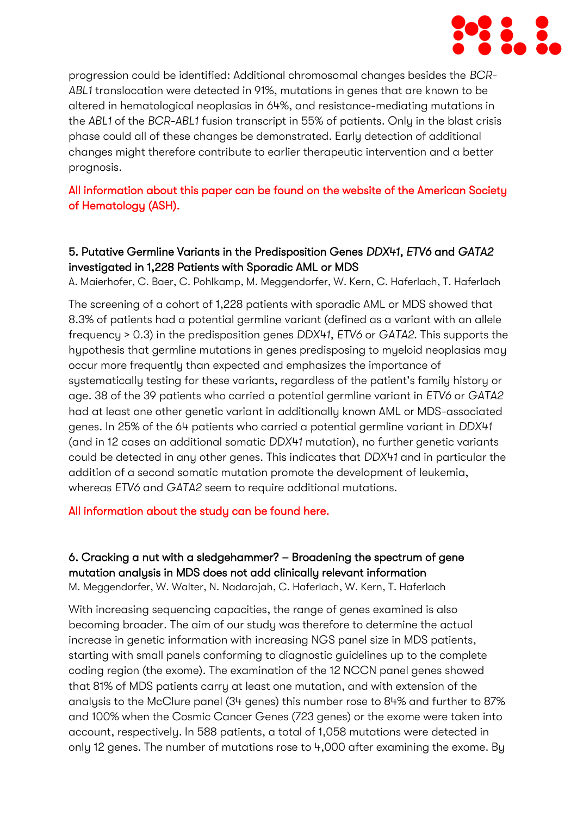

progression could be identified: Additional chromosomal changes besides the *BCR-ABL1* translocation were detected in 91%, mutations in genes that are known to be altered in hematological neoplasias in 64%, and resistance-mediating mutations in the *ABL1* of the *BCR-ABL1* fusion transcript in 55% of patients. Only in the blast crisis phase could all of these changes be demonstrated. Early detection of additional changes might therefore contribute to earlier therapeutic intervention and a better prognosis.

# [All information about this paper can be found on the website of the American Society](https://ash.confex.com/ash/2020/webprogram/Paper140688.html)  [of Hematology \(ASH\).](https://ash.confex.com/ash/2020/webprogram/Paper140688.html)

# 5. Putative Germline Variants in the Predisposition Genes *DDX41*, *ETV6* and *GATA2* investigated in 1,228 Patients with Sporadic AML or MDS

A. Maierhofer, C. Baer, C. Pohlkamp, M. Meggendorfer, W. Kern, C. Haferlach, T. Haferlach

The screening of a cohort of 1,228 patients with sporadic AML or MDS showed that 8.3% of patients had a potential germline variant (defined as a variant with an allele frequency > 0.3) in the predisposition genes *DDX41*, *ETV6* or *GATA2*. This supports the hypothesis that germline mutations in genes predisposing to myeloid neoplasias may occur more frequently than expected and emphasizes the importance of systematically testing for these variants, regardless of the patient's family history or age. 38 of the 39 patients who carried a potential germline variant in *ETV6* or *GATA2* had at least one other genetic variant in additionally known AML or MDS-associated genes. In 25% of the 64 patients who carried a potential germline variant in *DDX41* (and in 12 cases an additional somatic *DDX41* mutation), no further genetic variants could be detected in any other genes. This indicates that *DDX41* and in particular the addition of a second somatic mutation promote the development of leukemia, whereas *ETV6* and *GATA2* seem to require additional mutations.

#### [All information about the study can be found here.](https://ashpublications.org/blood/article/136/Supplement%201/17/470900/Putative-Germline-Variants-in-the-Predisposition)

# 6. Cracking a nut with a sledgehammer? – Broadening the spectrum of gene mutation analysis in MDS does not add clinically relevant information

M. Meggendorfer, W. Walter, N. Nadarajah, C. Haferlach, W. Kern, T. Haferlach

With increasing sequencing capacities, the range of genes examined is also becoming broader. The aim of our study was therefore to determine the actual increase in genetic information with increasing NGS panel size in MDS patients, starting with small panels conforming to diagnostic guidelines up to the complete coding region (the exome). The examination of the 12 NCCN panel genes showed that 81% of MDS patients carry at least one mutation, and with extension of the analysis to the McClure panel (34 genes) this number rose to 84% and further to 87% and 100% when the Cosmic Cancer Genes (723 genes) or the exome were taken into account, respectively. In 588 patients, a total of 1,058 mutations were detected in only 12 genes. The number of mutations rose to 4,000 after examining the exome. By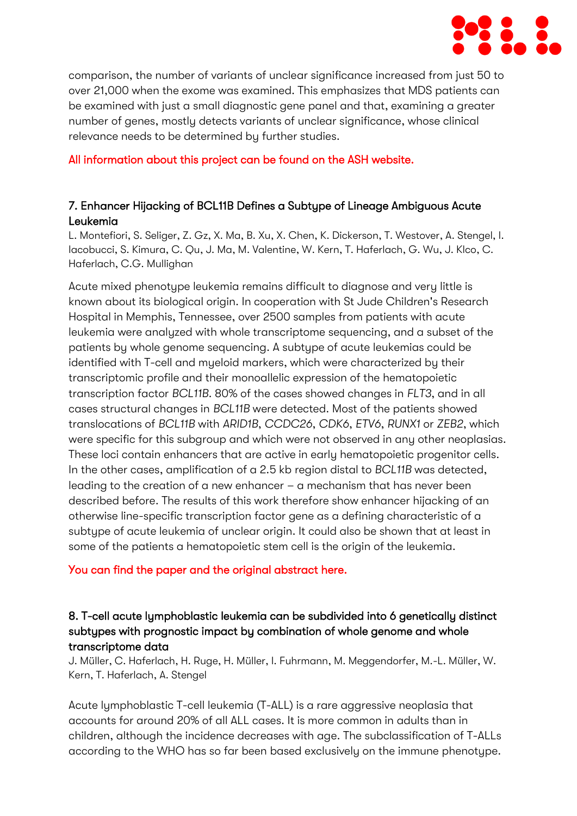

comparison, the number of variants of unclear significance increased from just 50 to over 21,000 when the exome was examined. This emphasizes that MDS patients can be examined with just a small diagnostic gene panel and that, examining a greater number of genes, mostly detects variants of unclear significance, whose clinical relevance needs to be determined by further studies.

#### [All information about this project can be found on the ASH website.](https://ash.confex.com/ash/2020/webprogram/Paper139274.html)

# 7. Enhancer Hijacking of BCL11B Defines a Subtype of Lineage Ambiguous Acute Leukemia

L. Montefiori, S. Seliger, Z. Gz, X. Ma, B. Xu, X. Chen, K. Dickerson, T. Westover, A. Stengel, I. Iacobucci, S. Kimura, C. Qu, J. Ma, M. Valentine, W. Kern, T. Haferlach, G. Wu, J. Klco, C. Haferlach, C.G. Mullighan

Acute mixed phenotype leukemia remains difficult to diagnose and very little is known about its biological origin. In cooperation with St Jude Children's Research Hospital in Memphis, Tennessee, over 2500 samples from patients with acute leukemia were analyzed with whole transcriptome sequencing, and a subset of the patients by whole genome sequencing. A subtype of acute leukemias could be identified with T-cell and myeloid markers, which were characterized by their transcriptomic profile and their monoallelic expression of the hematopoietic transcription factor *BCL11B*. 80% of the cases showed changes in *FLT3*, and in all cases structural changes in *BCL11B* were detected. Most of the patients showed translocations of *BCL11B* with *ARID1B*, *CCDC26*, *CDK6*, *ETV6*, *RUNX1* or *ZEB2*, which were specific for this subgroup and which were not observed in any other neoplasias. These loci contain enhancers that are active in early hematopoietic progenitor cells. In the other cases, amplification of a 2.5 kb region distal to *BCL11B* was detected, leading to the creation of a new enhancer – a mechanism that has never been described before. The results of this work therefore show enhancer hijacking of an otherwise line-specific transcription factor gene as a defining characteristic of a subtype of acute leukemia of unclear origin. It could also be shown that at least in some of the patients a hematopoietic stem cell is the origin of the leukemia.

#### [You can find the paper and the original abstract here.](https://ashpublications.org/blood/article/136/Supplement_2/LBA-3/474193/Enhancer-Hijacking-of-BCL11B-Defines-a-Subtype-of)

# 8. T-cell acute lymphoblastic leukemia can be subdivided into 6 genetically distinct subtypes with prognostic impact by combination of whole genome and whole transcriptome data

J. Müller, C. Haferlach, H. Ruge, H. Müller, I. Fuhrmann, M. Meggendorfer, M.-L. Müller, W. Kern, T. Haferlach, A. Stengel

Acute lymphoblastic T-cell leukemia (T-ALL) is a rare aggressive neoplasia that accounts for around 20% of all ALL cases. It is more common in adults than in children, although the incidence decreases with age. The subclassification of T-ALLs according to the WHO has so far been based exclusively on the immune phenotype.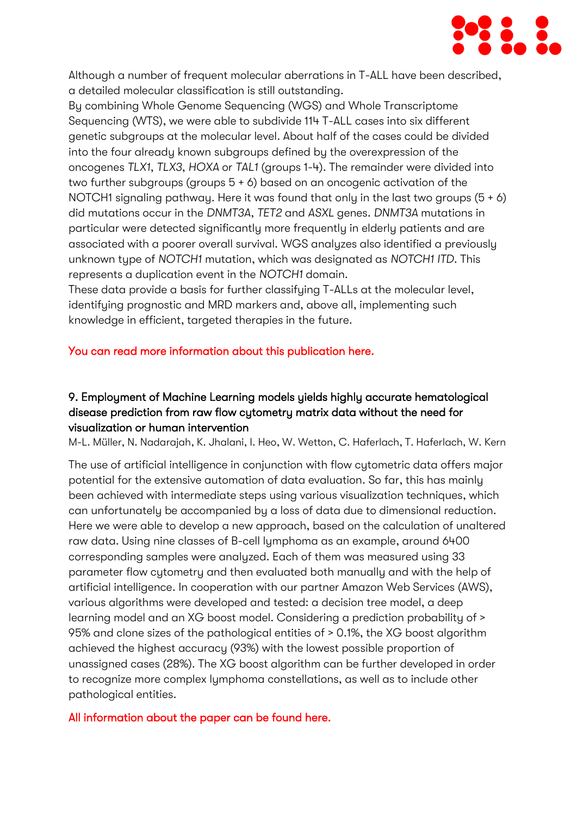

Although a number of frequent molecular aberrations in T-ALL have been described, a detailed molecular classification is still outstanding.

By combining Whole Genome Sequencing (WGS) and Whole Transcriptome Sequencing (WTS), we were able to subdivide 114 T-ALL cases into six different genetic subgroups at the molecular level. About half of the cases could be divided into the four already known subgroups defined by the overexpression of the oncogenes *TLX1*, *TLX3*, *HOXA* or *TAL1* (groups 1-4). The remainder were divided into two further subgroups (groups 5 + 6) based on an oncogenic activation of the NOTCH1 signaling pathway. Here it was found that only in the last two groups (5 + 6) did mutations occur in the *DNMT3A*, *TET2* and *ASXL* genes. *DNMT3A* mutations in particular were detected significantly more frequently in elderly patients and are associated with a poorer overall survival. WGS analyzes also identified a previously unknown type of *NOTCH1* mutation, which was designated as *NOTCH1 ITD*. This represents a duplication event in the *NOTCH1* domain.

These data provide a basis for further classifying T-ALLs at the molecular level, identifying prognostic and MRD markers and, above all, implementing such knowledge in efficient, targeted therapies in the future.

### [You can read more information about this publication here.](https://ashpublications.org/blood/article/136/Supplement%201/8/471703/T-Cell-Acute-Lymphoblastic-Leukemia-Can-be)

# 9. Employment of Machine Learning models yields highly accurate hematological disease prediction from raw flow cytometry matrix data without the need for visualization or human intervention

M-L. Müller, N. Nadarajah, K. Jhalani, I. Heo, W. Wetton, C. Haferlach, T. Haferlach, W. Kern

The use of artificial intelligence in conjunction with flow cytometric data offers major potential for the extensive automation of data evaluation. So far, this has mainly been achieved with intermediate steps using various visualization techniques, which can unfortunately be accompanied by a loss of data due to dimensional reduction. Here we were able to develop a new approach, based on the calculation of unaltered raw data. Using nine classes of B-cell lymphoma as an example, around 6400 corresponding samples were analyzed. Each of them was measured using 33 parameter flow cytometry and then evaluated both manually and with the help of artificial intelligence. In cooperation with our partner Amazon Web Services (AWS), various algorithms were developed and tested: a decision tree model, a deep learning model and an XG boost model. Considering a prediction probability of > 95% and clone sizes of the pathological entities of > 0.1%, the XG boost algorithm achieved the highest accuracy (93%) with the lowest possible proportion of unassigned cases (28%). The XG boost algorithm can be further developed in order to recognize more complex lymphoma constellations, as well as to include other pathological entities.

#### [All information about the paper can be found here.](https://ashpublications.org/blood/article/136/Supplement%201/11/471255/Employment-of-Machine-Learning-Models-Yields)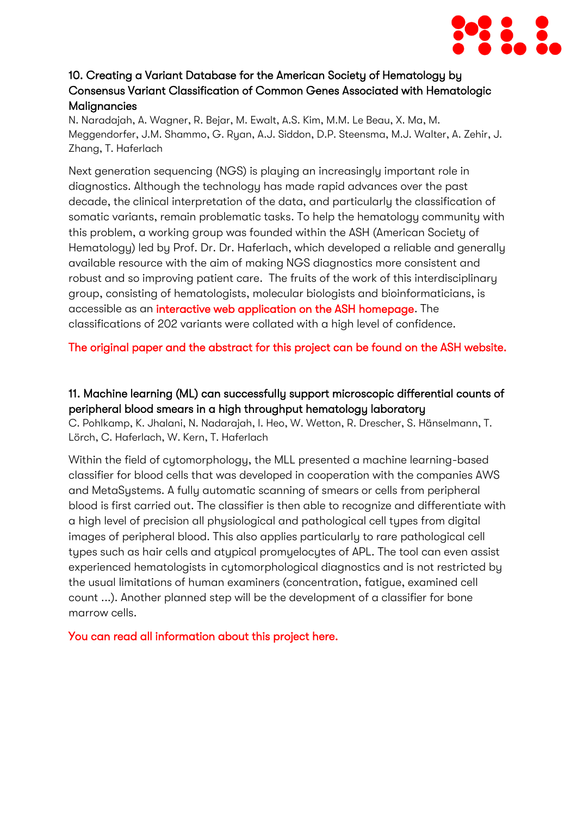

# 10. Creating a Variant Database for the American Society of Hematology by Consensus Variant Classification of Common Genes Associated with Hematologic **Malianancies**

N. Naradajah, A. Wagner, R. Bejar, M. Ewalt, A.S. Kim, M.M. Le Beau, X. Ma, M. Meggendorfer, J.M. Shammo, G. Ryan, A.J. Siddon, D.P. Steensma, M.J. Walter, A. Zehir, J. Zhang, T. Haferlach

Next generation sequencing (NGS) is playing an increasingly important role in diagnostics. Although the technology has made rapid advances over the past decade, the clinical interpretation of the data, and particularly the classification of somatic variants, remain problematic tasks. To help the hematology community with this problem, a working group was founded within the ASH (American Society of Hematology) led by Prof. Dr. Dr. Haferlach, which developed a reliable and generally available resource with the aim of making NGS diagnostics more consistent and robust and so improving patient care. The fruits of the work of this interdisciplinary group, consisting of hematologists, molecular biologists and bioinformaticians, is accessible as an [interactive web application on the ASH homepage.](https://www.hematology.org/research/gene-table) The classifications of 202 variants were collated with a high level of confidence.

# [The original paper and the abstract for this project can be found on the ASH website.](https://ashpublications.org/blood/article/136/Supplement%201/4/470082/Creating-a-Variant-Database-for-the-American)

# 11. Machine learning (ML) can successfully support microscopic differential counts of peripheral blood smears in a high throughput hematology laboratory

C. Pohlkamp, K. Jhalani, N. Nadarajah, I. Heo, W. Wetton, R. Drescher, S. Hänselmann, T. Lörch, C. Haferlach, W. Kern, T. Haferlach

Within the field of cytomorphology, the MLL presented a machine learning-based classifier for blood cells that was developed in cooperation with the companies AWS and MetaSystems. A fully automatic scanning of smears or cells from peripheral blood is first carried out. The classifier is then able to recognize and differentiate with a high level of precision all physiological and pathological cell types from digital images of peripheral blood. This also applies particularly to rare pathological cell types such as hair cells and atypical promyelocytes of APL. The tool can even assist experienced hematologists in cytomorphological diagnostics and is not restricted by the usual limitations of human examiners (concentration, fatigue, examined cell count ...). Another planned step will be the development of a classifier for bone marrow cells.

[You can read all information about this project here.](https://ashpublications.org/blood/article/136/Supplement%201/45/470144/Machine-Learning-ML-Can-Successfully-Support)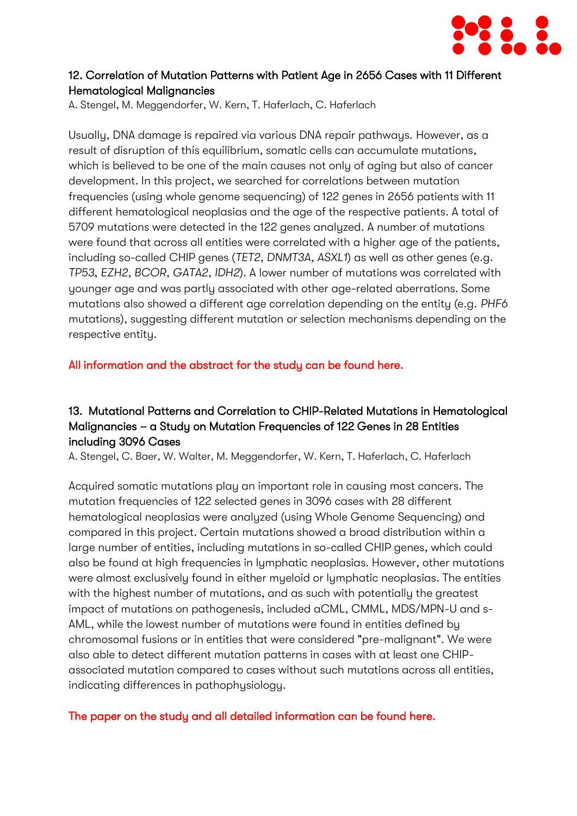

### 12. Correlation of Mutation Patterns with Patient Age in 2656 Cases with 11 Different Hematological Malignancies

A. Stengel, M. Meggendorfer, W. Kern, T. Haferlach, C. Haferlach

Usually, DNA damage is repaired via various DNA repair pathways. However, as a result of disruption of this equilibrium, somatic cells can accumulate mutations, which is believed to be one of the main causes not only of aging but also of cancer development. In this project, we searched for correlations between mutation frequencies (using whole genome sequencing) of 122 genes in 2656 patients with 11 different hematological neoplasias and the age of the respective patients. A total of 5709 mutations were detected in the 122 genes analyzed. A number of mutations were found that across all entities were correlated with a higher age of the patients, including so-called CHIP genes (*TET2*, *DNMT3A*, *ASXL1*) as well as other genes (e.g. *TP53*, *EZH2*, *BCOR*, *GATA2*, *IDH2*). A lower number of mutations was correlated with younger age and was partly associated with other age-related aberrations. Some mutations also showed a different age correlation depending on the entity (e.g. *PHF6* mutations), suggesting different mutation or selection mechanisms depending on the respective entity.

[All information and the abstract for the study can be found here.](https://ashpublications.org/blood/article/136/Supplement%201/16/470716/Correlation-of-Mutation-Patterns-with-Patient-Age)

## 13. Mutational Patterns and Correlation to CHIP-Related Mutations in Hematological Malignancies – a Study on Mutation Frequencies of 122 Genes in 28 Entities including 3096 Cases

A. Stengel, C. Baer, W. Walter, M. Meggendorfer, W. Kern, T. Haferlach, C. Haferlach

Acquired somatic mutations play an important role in causing most cancers. The mutation frequencies of 122 selected genes in 3096 cases with 28 different hematological neoplasias were analyzed (using Whole Genome Sequencing) and compared in this project. Certain mutations showed a broad distribution within a large number of entities, including mutations in so-called CHIP genes, which could also be found at high frequencies in lymphatic neoplasias. However, other mutations were almost exclusively found in either myeloid or lymphatic neoplasias. The entities with the highest number of mutations, and as such with potentially the greatest impact of mutations on pathogenesis, included aCML, CMML, MDS/MPN-U and s-AML, while the lowest number of mutations were found in entities defined by chromosomal fusions or in entities that were considered "pre-malignant". We were also able to detect different mutation patterns in cases with at least one CHIPassociated mutation compared to cases without such mutations across all entities, indicating differences in pathophysiology.

[The paper on the study and all detailed information can be found here.](https://ashpublications.org/blood/article/136/Supplement%201/37/473921/Mutational-Patterns-and-Correlation-to-Chip)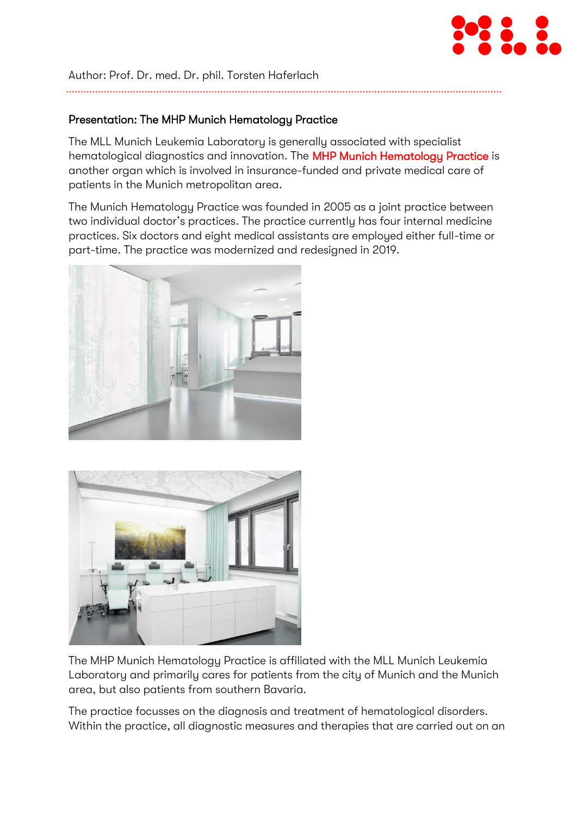

Author: Prof. Dr. med. Dr. phil. Torsten Haferlach

### Presentation: The MHP Munich Hematology Practice

The MLL Munich Leukemia Laboratory is generally associated with specialist hematological diagnostics and innovation. The [MHP Munich Hematology Practice](https://www.mhp-online.com/) is another organ which is involved in insurance-funded and private medical care of patients in the Munich metropolitan area.

The Munich Hematology Practice was founded in 2005 as a joint practice between two individual doctor's practices. The practice currently has four internal medicine practices. Six doctors and eight medical assistants are employed either full-time or part-time. The practice was modernized and redesigned in 2019.





The MHP Munich Hematology Practice is affiliated with the MLL Munich Leukemia Laboratory and primarily cares for patients from the city of Munich and the Munich area, but also patients from southern Bavaria.

The practice focusses on the diagnosis and treatment of hematological disorders. Within the practice, all diagnostic measures and therapies that are carried out on an